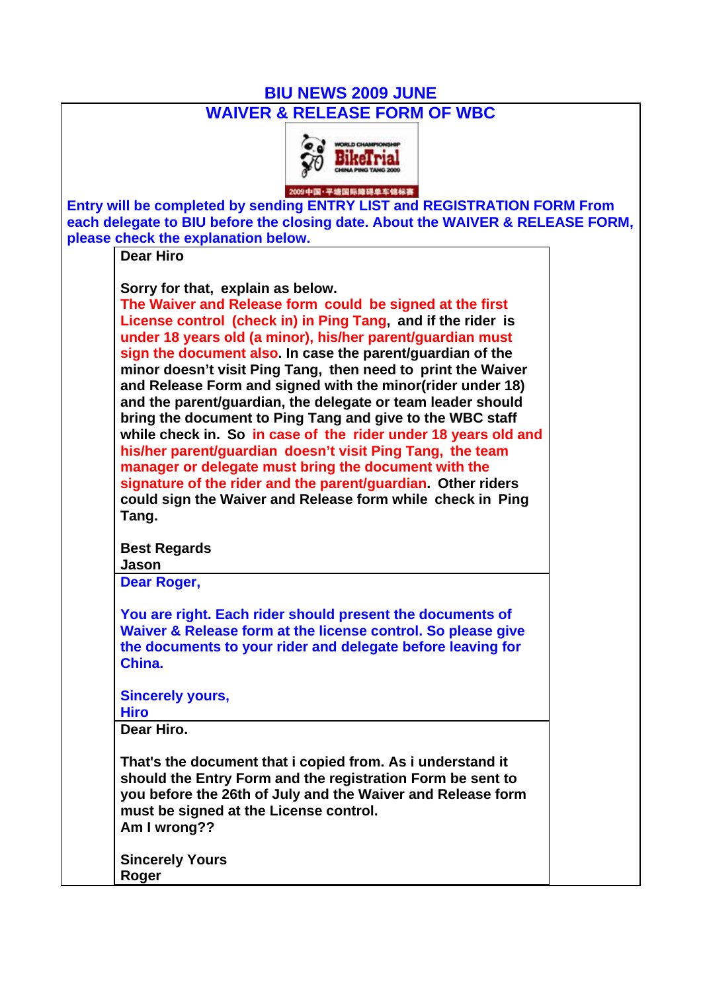## **BIU NEWS 2009 JUNE**